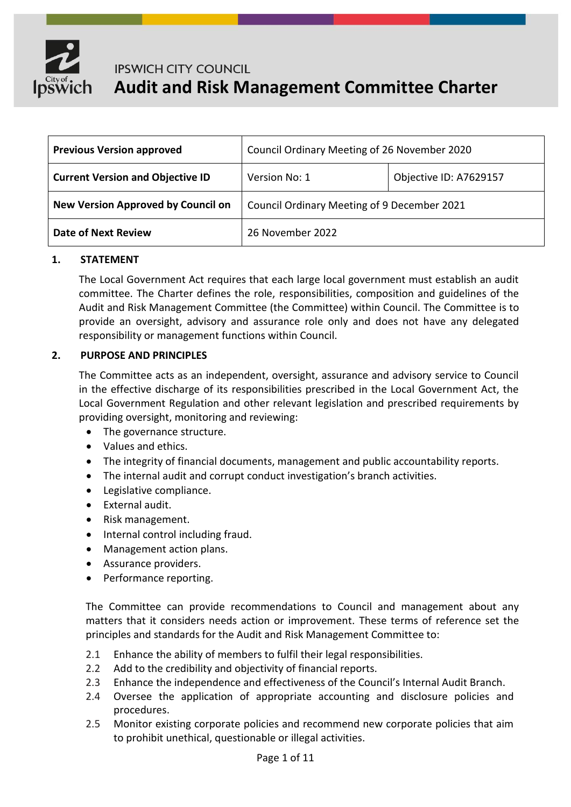

# **IPSWICH CITY COUNCIL Audit and Risk Management Committee Charter**

| <b>Previous Version approved</b>          | Council Ordinary Meeting of 26 November 2020 |                        |
|-------------------------------------------|----------------------------------------------|------------------------|
| <b>Current Version and Objective ID</b>   | Version No: 1                                | Objective ID: A7629157 |
| <b>New Version Approved by Council on</b> | Council Ordinary Meeting of 9 December 2021  |                        |
| <b>Date of Next Review</b>                | 26 November 2022                             |                        |

# **1. STATEMENT**

The Local Government Act requires that each large local government must establish an audit committee. The Charter defines the role, responsibilities, composition and guidelines of the Audit and Risk Management Committee (the Committee) within Council. The Committee is to provide an oversight, advisory and assurance role only and does not have any delegated responsibility or management functions within Council.

# **2. PURPOSE AND PRINCIPLES**

The Committee acts as an independent, oversight, assurance and advisory service to Council in the effective discharge of its responsibilities prescribed in the Local Government Act, the Local Government Regulation and other relevant legislation and prescribed requirements by providing oversight, monitoring and reviewing:

- The governance structure.
- Values and ethics.
- The integrity of financial documents, management and public accountability reports.
- The internal audit and corrupt conduct investigation's branch activities.
- Legislative compliance.
- External audit.
- Risk management.
- Internal control including fraud.
- Management action plans.
- Assurance providers.
- Performance reporting.

The Committee can provide recommendations to Council and management about any matters that it considers needs action or improvement. These terms of reference set the principles and standards for the Audit and Risk Management Committee to:

- 2.1 Enhance the ability of members to fulfil their legal responsibilities.
- 2.2 Add to the credibility and objectivity of financial reports.
- 2.3 Enhance the independence and effectiveness of the Council's Internal Audit Branch.
- 2.4 Oversee the application of appropriate accounting and disclosure policies and procedures.
- 2.5 Monitor existing corporate policies and recommend new corporate policies that aim to prohibit unethical, questionable or illegal activities.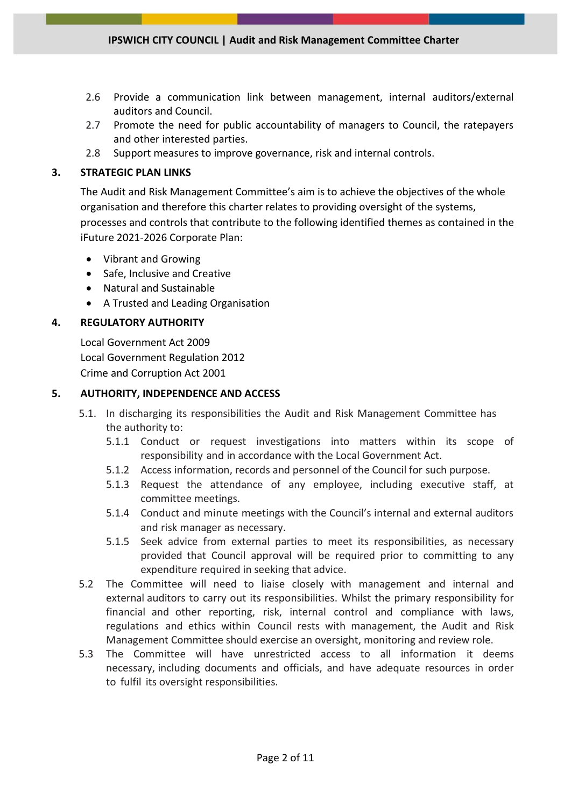- 2.6 Provide a communication link between management, internal auditors/external auditors and Council.
- 2.7 Promote the need for public accountability of managers to Council, the ratepayers and other interested parties.
- 2.8 Support measures to improve governance, risk and internal controls.

# **3. STRATEGIC PLAN LINKS**

The Audit and Risk Management Committee's aim is to achieve the objectives of the whole organisation and therefore this charter relates to providing oversight of the systems, processes and controls that contribute to the following identified themes as contained in the iFuture 2021-2026 Corporate Plan:

- Vibrant and Growing
- Safe, Inclusive and Creative
- Natural and Sustainable
- A Trusted and Leading Organisation

# **4. REGULATORY AUTHORITY**

Local Government Act 2009 Local Government Regulation 2012 Crime and Corruption Act 2001

# **5. AUTHORITY, INDEPENDENCE AND ACCESS**

- 5.1. In discharging its responsibilities the Audit and Risk Management Committee has the authority to:
	- 5.1.1 Conduct or request investigations into matters within its scope of responsibility and in accordance with the Local Government Act.
	- 5.1.2 Access information, records and personnel of the Council for such purpose.
	- 5.1.3 Request the attendance of any employee, including executive staff, at committee meetings.
	- 5.1.4 Conduct and minute meetings with the Council's internal and external auditors and risk manager as necessary.
	- 5.1.5 Seek advice from external parties to meet its responsibilities, as necessary provided that Council approval will be required prior to committing to any expenditure required in seeking that advice.
- 5.2 The Committee will need to liaise closely with management and internal and external auditors to carry out its responsibilities. Whilst the primary responsibility for financial and other reporting, risk, internal control and compliance with laws, regulations and ethics within Council rests with management, the Audit and Risk Management Committee should exercise an oversight, monitoring and review role.
- 5.3 The Committee will have unrestricted access to all information it deems necessary, including documents and officials, and have adequate resources in order to fulfil its oversight responsibilities.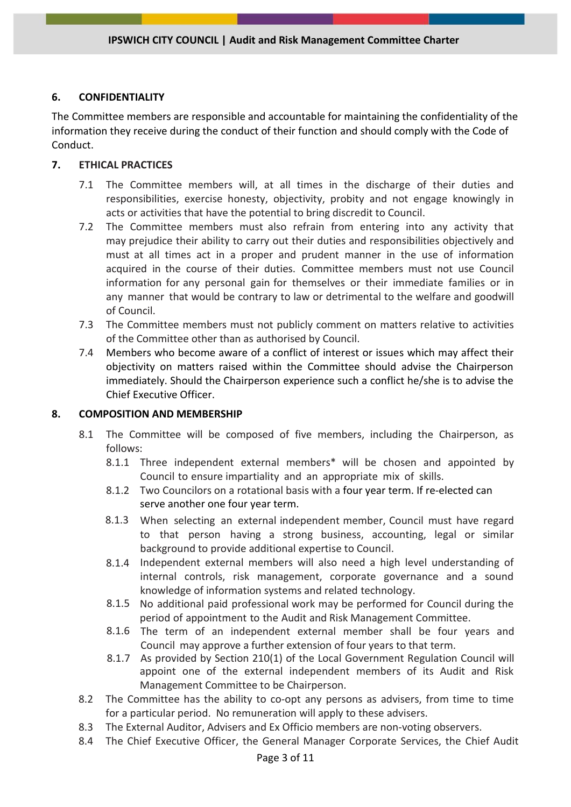# **6. CONFIDENTIALITY**

The Committee members are responsible and accountable for maintaining the confidentiality of the information they receive during the conduct of their function and should comply with the Code of Conduct.

# **7. ETHICAL PRACTICES**

- 7.1 The Committee members will, at all times in the discharge of their duties and responsibilities, exercise honesty, objectivity, probity and not engage knowingly in acts or activities that have the potential to bring discredit to Council.
- 7.2 The Committee members must also refrain from entering into any activity that may prejudice their ability to carry out their duties and responsibilities objectively and must at all times act in a proper and prudent manner in the use of information acquired in the course of their duties. Committee members must not use Council information for any personal gain for themselves or their immediate families or in any manner that would be contrary to law or detrimental to the welfare and goodwill of Council.
- 7.3 The Committee members must not publicly comment on matters relative to activities of the Committee other than as authorised by Council.
- 7.4 Members who become aware of a conflict of interest or issues which may affect their objectivity on matters raised within the Committee should advise the Chairperson immediately. Should the Chairperson experience such a conflict he/she is to advise the Chief Executive Officer.

# **8. COMPOSITION AND MEMBERSHIP**

- 8.1 The Committee will be composed of five members, including the Chairperson, as follows:
	- 8.1.1 Three independent external members\* will be chosen and appointed by Council to ensure impartiality and an appropriate mix of skills.
	- 8.1.2 Two Councilors on a rotational basis with a four year term. If re-elected can serve another one four year term.
	- 8.1.3 When selecting an external independent member, Council must have regard to that person having a strong business, accounting, legal or similar background to provide additional expertise to Council.
	- 8.1.4 Independent external members will also need a high level understanding of internal controls, risk management, corporate governance and a sound knowledge of information systems and related technology.
	- 8.1.5 No additional paid professional work may be performed for Council during the period of appointment to the Audit and Risk Management Committee.
	- 8.1.6 The term of an independent external member shall be four years and Council may approve a further extension of four years to that term.
	- 8.1.7 As provided by Section 210(1) of the Local Government Regulation Council will appoint one of the external independent members of its Audit and Risk Management Committee to be Chairperson.
- 8.2 The Committee has the ability to co-opt any persons as advisers, from time to time for a particular period. No remuneration will apply to these advisers.
- 8.3 The External Auditor, Advisers and Ex Officio members are non-voting observers.
- 8.4 The Chief Executive Officer, the General Manager Corporate Services, the Chief Audit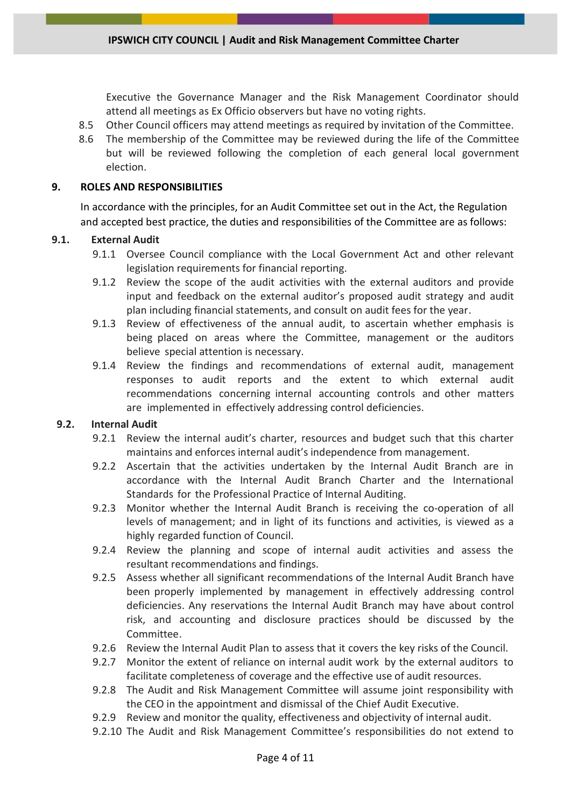Executive the Governance Manager and the Risk Management Coordinator should attend all meetings as Ex Officio observers but have no voting rights.

- 8.5 Other Council officers may attend meetings as required by invitation of the Committee.
- 8.6 The membership of the Committee may be reviewed during the life of the Committee but will be reviewed following the completion of each general local government election.

## **9. ROLES AND RESPONSIBILITIES**

In accordance with the principles, for an Audit Committee set out in the Act, the Regulation and accepted best practice, the duties and responsibilities of the Committee are as follows:

## **9.1. External Audit**

- 9.1.1 Oversee Council compliance with the Local Government Act and other relevant legislation requirements for financial reporting.
- 9.1.2 Review the scope of the audit activities with the external auditors and provide input and feedback on the external auditor's proposed audit strategy and audit plan including financial statements, and consult on audit fees for the year.
- 9.1.3 Review of effectiveness of the annual audit, to ascertain whether emphasis is being placed on areas where the Committee, management or the auditors believe special attention is necessary.
- 9.1.4 Review the findings and recommendations of external audit, management responses to audit reports and the extent to which external audit recommendations concerning internal accounting controls and other matters are implemented in effectively addressing control deficiencies.

# **9.2. Internal Audit**

- 9.2.1 Review the internal audit's charter, resources and budget such that this charter maintains and enforces internal audit's independence from management.
- 9.2.2 Ascertain that the activities undertaken by the Internal Audit Branch are in accordance with the Internal Audit Branch Charter and the International Standards for the Professional Practice of Internal Auditing.
- 9.2.3 Monitor whether the Internal Audit Branch is receiving the co-operation of all levels of management; and in light of its functions and activities, is viewed as a highly regarded function of Council.
- 9.2.4 Review the planning and scope of internal audit activities and assess the resultant recommendations and findings.
- 9.2.5 Assess whether all significant recommendations of the Internal Audit Branch have been properly implemented by management in effectively addressing control deficiencies. Any reservations the Internal Audit Branch may have about control risk, and accounting and disclosure practices should be discussed by the Committee.
- 9.2.6 Review the Internal Audit Plan to assess that it covers the key risks of the Council.
- 9.2.7 Monitor the extent of reliance on internal audit work by the external auditors to facilitate completeness of coverage and the effective use of audit resources.
- 9.2.8 The Audit and Risk Management Committee will assume joint responsibility with the CEO in the appointment and dismissal of the Chief Audit Executive.
- 9.2.9 Review and monitor the quality, effectiveness and objectivity of internal audit.
- 9.2.10 The Audit and Risk Management Committee's responsibilities do not extend to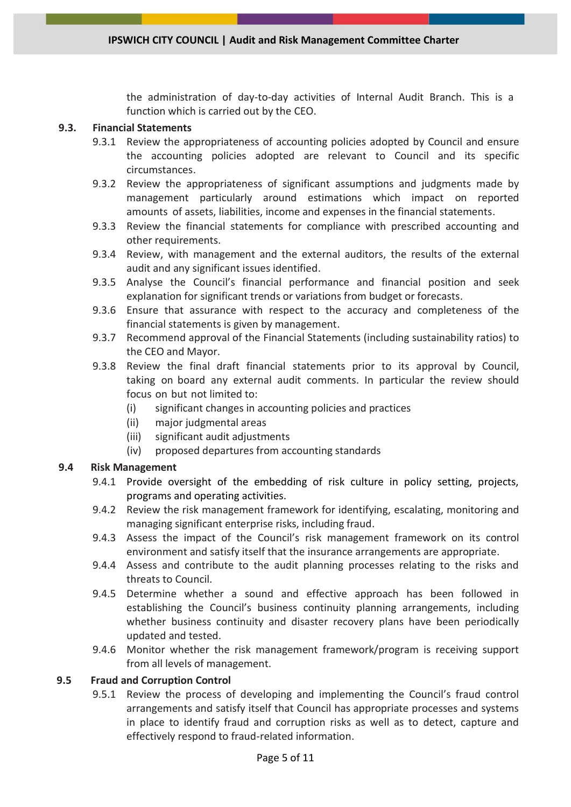the administration of day-to-day activities of Internal Audit Branch. This is a function which is carried out by the CEO.

# **9.3. Financial Statements**

- 9.3.1 Review the appropriateness of accounting policies adopted by Council and ensure the accounting policies adopted are relevant to Council and its specific circumstances.
- 9.3.2 Review the appropriateness of significant assumptions and judgments made by management particularly around estimations which impact on reported amounts of assets, liabilities, income and expenses in the financial statements.
- 9.3.3 Review the financial statements for compliance with prescribed accounting and other requirements.
- 9.3.4 Review, with management and the external auditors, the results of the external audit and any significant issues identified.
- 9.3.5 Analyse the Council's financial performance and financial position and seek explanation for significant trends or variations from budget or forecasts.
- 9.3.6 Ensure that assurance with respect to the accuracy and completeness of the financial statements is given by management.
- 9.3.7 Recommend approval of the Financial Statements (including sustainability ratios) to the CEO and Mayor.
- 9.3.8 Review the final draft financial statements prior to its approval by Council, taking on board any external audit comments. In particular the review should focus on but not limited to:
	- (i) significant changes in accounting policies and practices
	- (ii) major judgmental areas
	- (iii) significant audit adjustments
	- (iv) proposed departures from accounting standards

# **9.4 Risk Management**

- 9.4.1 Provide oversight of the embedding of risk culture in policy setting, projects, programs and operating activities.
- 9.4.2 Review the risk management framework for identifying, escalating, monitoring and managing significant enterprise risks, including fraud.
- 9.4.3 Assess the impact of the Council's risk management framework on its control environment and satisfy itself that the insurance arrangements are appropriate.
- 9.4.4 Assess and contribute to the audit planning processes relating to the risks and threats to Council.
- 9.4.5 Determine whether a sound and effective approach has been followed in establishing the Council's business continuity planning arrangements, including whether business continuity and disaster recovery plans have been periodically updated and tested.
- 9.4.6 Monitor whether the risk management framework/program is receiving support from all levels of management.

# **9.5 Fraud and Corruption Control**

9.5.1 Review the process of developing and implementing the Council's fraud control arrangements and satisfy itself that Council has appropriate processes and systems in place to identify fraud and corruption risks as well as to detect, capture and effectively respond to fraud-related information.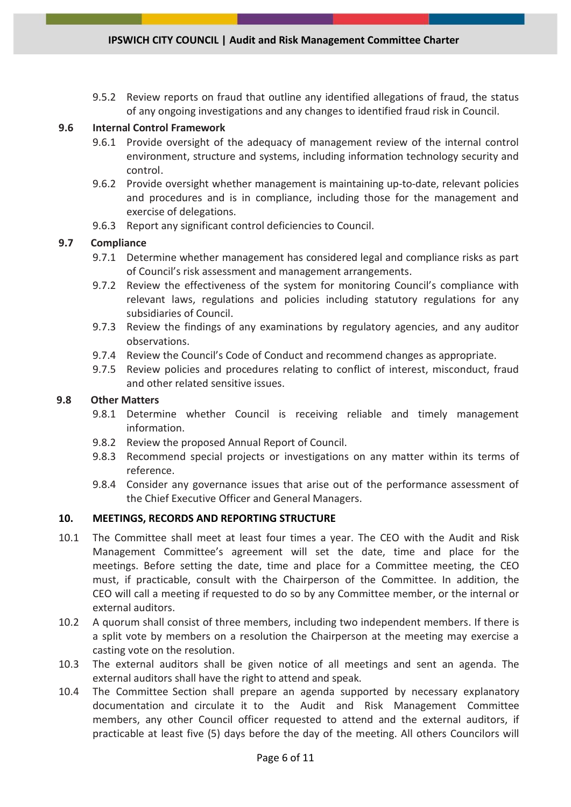9.5.2 Review reports on fraud that outline any identified allegations of fraud, the status of any ongoing investigations and any changes to identified fraud risk in Council.

# **9.6 Internal Control Framework**

- 9.6.1 Provide oversight of the adequacy of management review of the internal control environment, structure and systems, including information technology security and control.
- 9.6.2 Provide oversight whether management is maintaining up-to-date, relevant policies and procedures and is in compliance, including those for the management and exercise of delegations.
- 9.6.3 Report any significant control deficiencies to Council.

# **9.7 Compliance**

- 9.7.1 Determine whether management has considered legal and compliance risks as part of Council's risk assessment and management arrangements.
- 9.7.2 Review the effectiveness of the system for monitoring Council's compliance with relevant laws, regulations and policies including statutory regulations for any subsidiaries of Council.
- 9.7.3 Review the findings of any examinations by regulatory agencies, and any auditor observations.
- 9.7.4 Review the Council's Code of Conduct and recommend changes as appropriate.
- 9.7.5 Review policies and procedures relating to conflict of interest, misconduct, fraud and other related sensitive issues.

## **9.8 Other Matters**

- 9.8.1 Determine whether Council is receiving reliable and timely management information.
- 9.8.2 Review the proposed Annual Report of Council.
- 9.8.3 Recommend special projects or investigations on any matter within its terms of reference.
- 9.8.4 Consider any governance issues that arise out of the performance assessment of the Chief Executive Officer and General Managers.

# **10. MEETINGS, RECORDS AND REPORTING STRUCTURE**

- 10.1 The Committee shall meet at least four times a year. The CEO with the Audit and Risk Management Committee's agreement will set the date, time and place for the meetings. Before setting the date, time and place for a Committee meeting, the CEO must, if practicable, consult with the Chairperson of the Committee. In addition, the CEO will call a meeting if requested to do so by any Committee member, or the internal or external auditors.
- 10.2 A quorum shall consist of three members, including two independent members. If there is a split vote by members on a resolution the Chairperson at the meeting may exercise a casting vote on the resolution.
- 10.3 The external auditors shall be given notice of all meetings and sent an agenda. The external auditors shall have the right to attend and speak.
- 10.4 The Committee Section shall prepare an agenda supported by necessary explanatory documentation and circulate it to the Audit and Risk Management Committee members, any other Council officer requested to attend and the external auditors, if practicable at least five (5) days before the day of the meeting. All others Councilors will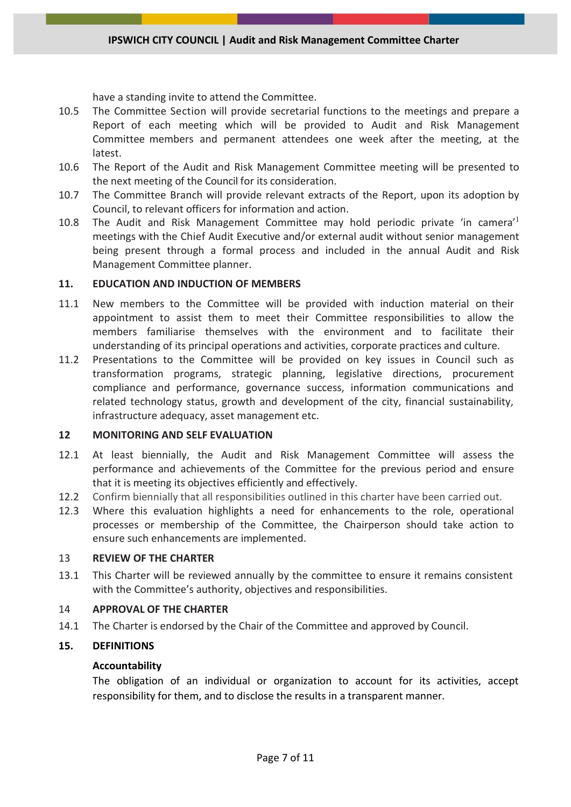have a standing invite to attend the Committee.

- 10.5 The Committee Section will provide secretarial functions to the meetings and prepare a Report of each meeting which will be provided to Audit and Risk Management Committee members and permanent attendees one week after the meeting, at the latest.
- 10.6 The Report of the Audit and Risk Management Committee meeting will be presented to the next meeting of the Council for its consideration.
- 10.7 The Committee Branch will provide relevant extracts of the Report, upon its adoption by Council, to relevant officers for information and action.
- 10.8 The Audit and Risk Management Committee may hold periodic private 'in camera'<sup>1</sup> meetings with the Chief Audit Executive and/or external audit without senior management being present through a formal process and included in the annual Audit and Risk Management Committee planner.

# **11. EDUCATION AND INDUCTION OF MEMBERS**

- 11.1 New members to the Committee will be provided with induction material on their appointment to assist them to meet their Committee responsibilities to allow the members familiarise themselves with the environment and to facilitate their understanding of its principal operations and activities, corporate practices and culture.
- 11.2 Presentations to the Committee will be provided on key issues in Council such as transformation programs, strategic planning, legislative directions, procurement compliance and performance, governance success, information communications and related technology status, growth and development of the city, financial sustainability, infrastructure adequacy, asset management etc.

# **12 MONITORING AND SELF EVALUATION**

- 12.1 At least biennially, the Audit and Risk Management Committee will assess the performance and achievements of the Committee for the previous period and ensure that it is meeting its objectives efficiently and effectively.
- 12.2 Confirm biennially that all responsibilities outlined in this charter have been carried out.
- 12.3 Where this evaluation highlights a need for enhancements to the role, operational processes or membership of the Committee, the Chairperson should take action to ensure such enhancements are implemented.

# 13 **REVIEW OF THE CHARTER**

13.1 This Charter will be reviewed annually by the committee to ensure it remains consistent with the Committee's authority, objectives and responsibilities.

# 14 **APPROVAL OF THE CHARTER**

14.1 The Charter is endorsed by the Chair of the Committee and approved by Council.

# **15. DEFINITIONS**

# **Accountability**

The obligation of an individual or organization to account for its activities, accept responsibility for them, and to disclose the results in a transparent manner.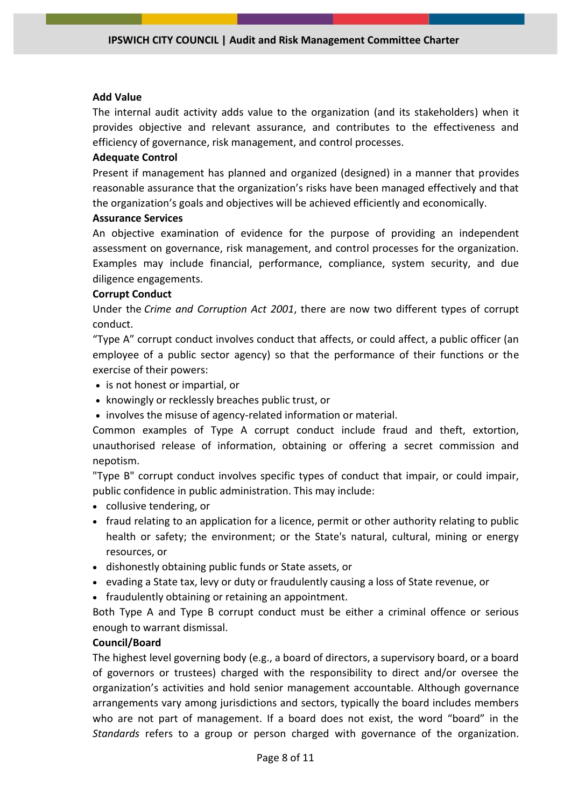#### **Add Value**

The internal audit activity adds value to the organization (and its stakeholders) when it provides objective and relevant assurance, and contributes to the effectiveness and efficiency of governance, risk management, and control processes.

## **Adequate Control**

Present if management has planned and organized (designed) in a manner that provides reasonable assurance that the organization's risks have been managed effectively and that the organization's goals and objectives will be achieved efficiently and economically.

#### **Assurance Services**

An objective examination of evidence for the purpose of providing an independent assessment on governance, risk management, and control processes for the organization. Examples may include financial, performance, compliance, system security, and due diligence engagements.

#### **Corrupt Conduct**

Under the *Crime and Corruption Act 2001*, there are now two different types of corrupt conduct.

"Type A" corrupt conduct involves conduct that affects, or could affect, a public officer (an employee of a public sector agency) so that the performance of their functions or the exercise of their powers:

- is not honest or impartial, or
- knowingly or recklessly breaches public trust, or
- involves the misuse of agency-related information or material.

Common examples of Type A corrupt conduct include fraud and theft, extortion, unauthorised release of information, obtaining or offering a secret commission and nepotism.

"Type B" corrupt conduct involves specific types of conduct that impair, or could impair, public confidence in public administration. This may include:

- collusive tendering, or
- fraud relating to an application for a licence, permit or other authority relating to public health or safety; the environment; or the State's natural, cultural, mining or energy resources, or
- dishonestly obtaining public funds or State assets, or
- evading a State tax, levy or duty or fraudulently causing a loss of State revenue, or
- fraudulently obtaining or retaining an appointment.

Both Type A and Type B corrupt conduct must be either a criminal offence or serious enough to warrant dismissal.

## **Council/Board**

The highest level governing body (e.g., a board of directors, a supervisory board, or a board of governors or trustees) charged with the responsibility to direct and/or oversee the organization's activities and hold senior management accountable. Although governance arrangements vary among jurisdictions and sectors, typically the board includes members who are not part of management. If a board does not exist, the word "board" in the *Standards* refers to a group or person charged with governance of the organization.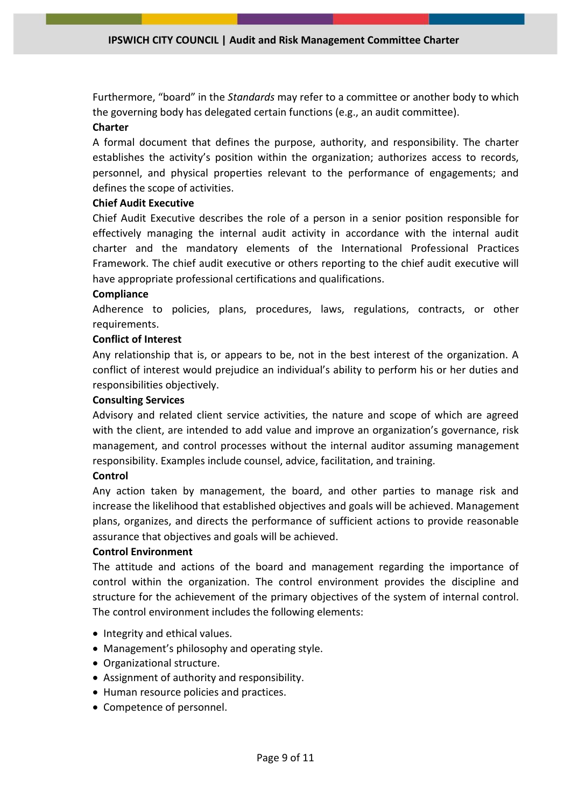Furthermore, "board" in the *Standards* may refer to a committee or another body to which the governing body has delegated certain functions (e.g., an audit committee).

## **Charter**

A formal document that defines the purpose, authority, and responsibility. The charter establishes the activity's position within the organization; authorizes access to records, personnel, and physical properties relevant to the performance of engagements; and defines the scope of activities.

## **Chief Audit Executive**

Chief Audit Executive describes the role of a person in a senior position responsible for effectively managing the internal audit activity in accordance with the internal audit charter and the mandatory elements of the International Professional Practices Framework. The chief audit executive or others reporting to the chief audit executive will have appropriate professional certifications and qualifications.

## **Compliance**

Adherence to policies, plans, procedures, laws, regulations, contracts, or other requirements.

## **Conflict of Interest**

Any relationship that is, or appears to be, not in the best interest of the organization. A conflict of interest would prejudice an individual's ability to perform his or her duties and responsibilities objectively.

## **Consulting Services**

Advisory and related client service activities, the nature and scope of which are agreed with the client, are intended to add value and improve an organization's governance, risk management, and control processes without the internal auditor assuming management responsibility. Examples include counsel, advice, facilitation, and training.

## **Control**

Any action taken by management, the board, and other parties to manage risk and increase the likelihood that established objectives and goals will be achieved. Management plans, organizes, and directs the performance of sufficient actions to provide reasonable assurance that objectives and goals will be achieved.

## **Control Environment**

The attitude and actions of the board and management regarding the importance of control within the organization. The control environment provides the discipline and structure for the achievement of the primary objectives of the system of internal control. The control environment includes the following elements:

- Integrity and ethical values.
- Management's philosophy and operating style.
- Organizational structure.
- Assignment of authority and responsibility.
- Human resource policies and practices.
- Competence of personnel.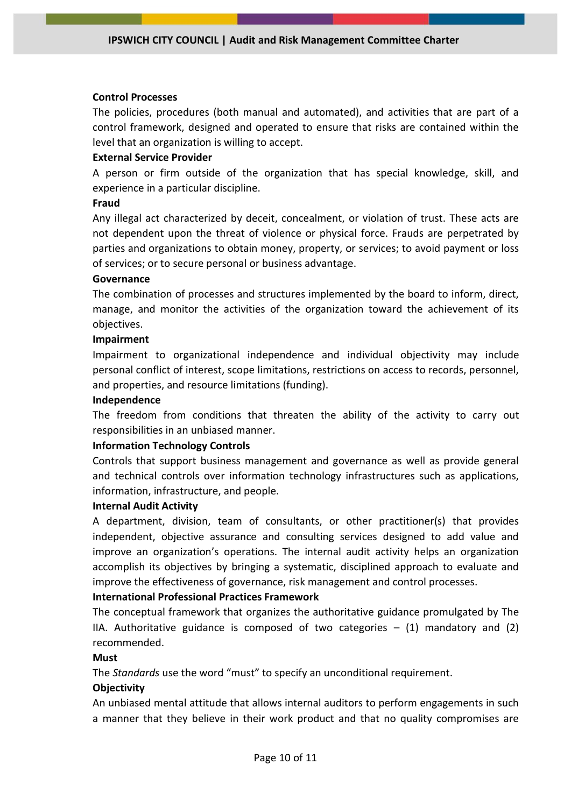#### **Control Processes**

The policies, procedures (both manual and automated), and activities that are part of a control framework, designed and operated to ensure that risks are contained within the level that an organization is willing to accept.

#### **External Service Provider**

A person or firm outside of the organization that has special knowledge, skill, and experience in a particular discipline.

#### **Fraud**

Any illegal act characterized by deceit, concealment, or violation of trust. These acts are not dependent upon the threat of violence or physical force. Frauds are perpetrated by parties and organizations to obtain money, property, or services; to avoid payment or loss of services; or to secure personal or business advantage.

#### **Governance**

The combination of processes and structures implemented by the board to inform, direct, manage, and monitor the activities of the organization toward the achievement of its objectives.

## **Impairment**

Impairment to organizational independence and individual objectivity may include personal conflict of interest, scope limitations, restrictions on access to records, personnel, and properties, and resource limitations (funding).

#### **Independence**

The freedom from conditions that threaten the ability of the activity to carry out responsibilities in an unbiased manner.

#### **Information Technology Controls**

Controls that support business management and governance as well as provide general and technical controls over information technology infrastructures such as applications, information, infrastructure, and people.

## **Internal Audit Activity**

A department, division, team of consultants, or other practitioner(s) that provides independent, objective assurance and consulting services designed to add value and improve an organization's operations. The internal audit activity helps an organization accomplish its objectives by bringing a systematic, disciplined approach to evaluate and improve the effectiveness of governance, risk management and control processes.

## **International Professional Practices Framework**

The conceptual framework that organizes the authoritative guidance promulgated by The IIA. Authoritative guidance is composed of two categories  $-$  (1) mandatory and (2) recommended.

#### **Must**

The *Standards* use the word "must" to specify an unconditional requirement.

## **Objectivity**

An unbiased mental attitude that allows internal auditors to perform engagements in such a manner that they believe in their work product and that no quality compromises are